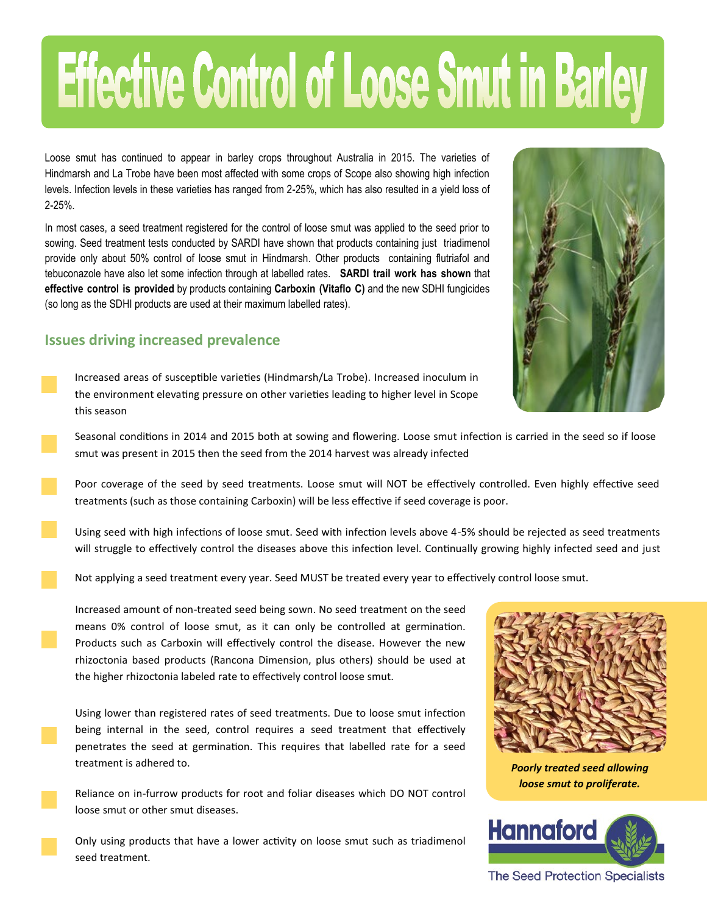## Effective Control of Loose Smut in Barley

Loose smut has continued to appear in barley crops throughout Australia in 2015. The varieties of Hindmarsh and La Trobe have been most affected with some crops of Scope also showing high infection levels. Infection levels in these varieties has ranged from 2-25%, which has also resulted in a yield loss of 2-25%.

In most cases, a seed treatment registered for the control of loose smut was applied to the seed prior to sowing. Seed treatment tests conducted by SARDI have shown that products containing just triadimenol provide only about 50% control of loose smut in Hindmarsh. Other products containing flutriafol and tebuconazole have also let some infection through at labelled rates. **SARDI trail work has shown** that **effective control is provided** by products containing **Carboxin (Vitaflo C)** and the new SDHI fungicides (so long as the SDHI products are used at their maximum labelled rates).

## **Issues driving increased prevalence**

Increased areas of susceptible varieties (Hindmarsh/La Trobe). Increased inoculum in the environment elevating pressure on other varieties leading to higher level in Scope this season

Seasonal conditions in 2014 and 2015 both at sowing and flowering. Loose smut infection is carried in the seed so if loose smut was present in 2015 then the seed from the 2014 harvest was already infected

Poor coverage of the seed by seed treatments. Loose smut will NOT be effectively controlled. Even highly effective seed treatments (such as those containing Carboxin) will be less effective if seed coverage is poor.

Using seed with high infections of loose smut. Seed with infection levels above 4-5% should be rejected as seed treatments will struggle to effectively control the diseases above this infection level. Continually growing highly infected seed and just

Not applying a seed treatment every year. Seed MUST be treated every year to effectively control loose smut.

Increased amount of non-treated seed being sown. No seed treatment on the seed means 0% control of loose smut, as it can only be controlled at germination. Products such as Carboxin will effectively control the disease. However the new rhizoctonia based products (Rancona Dimension, plus others) should be used at the higher rhizoctonia labeled rate to effectively control loose smut.

Using lower than registered rates of seed treatments. Due to loose smut infection being internal in the seed, control requires a seed treatment that effectively penetrates the seed at germination. This requires that labelled rate for a seed treatment is adhered to.

Reliance on in-furrow products for root and foliar diseases which DO NOT control loose smut or other smut diseases.

Only using products that have a lower activity on loose smut such as triadimenol seed treatment.



*Poorly treated seed allowing loose smut to proliferate.*



**The Seed Protection Specialists**